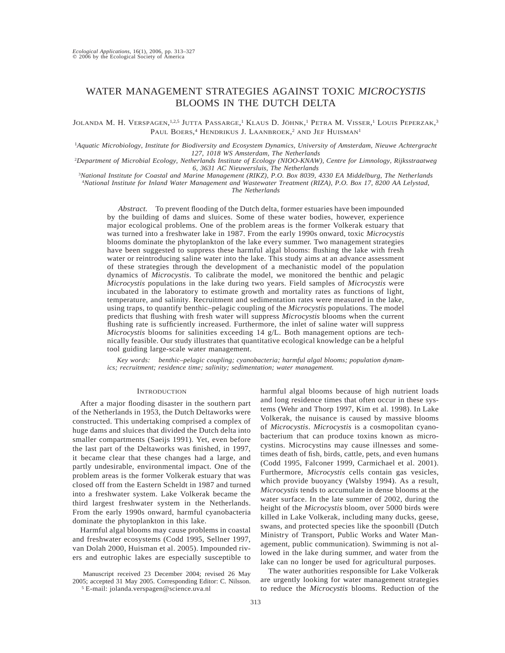# WATER MANAGEMENT STRATEGIES AGAINST TOXIC *MICROCYSTIS* BLOOMS IN THE DUTCH DELTA

Jolanda M. H. Verspagen, <sup>1,2,5</sup> Jutta Passarge, ' Klaus D. Jöhnk, ' Petra M. Visser, ' Louis Peperzak,<sup>3</sup> Paul Boers,<sup>4</sup> Hendrikus J. Laanbroek,<sup>2</sup> and Jef Huisman<sup>1</sup>

<sup>1</sup>*Aquatic Microbiology, Institute for Biodiversity and Ecosystem Dynamics, University of Amsterdam, Nieuwe Achtergracht 127, 1018 WS Amsterdam, The Netherlands*

2 *Department of Microbial Ecology, Netherlands Institute of Ecology (NIOO-KNAW), Centre for Limnology, Rijksstraatweg 6, 3631 AC Nieuwersluis, The Netherlands*

3 *National Institute for Coastal and Marine Management (RIKZ), P.O. Box 8039, 4330 EA Middelburg, The Netherlands* 4 *National Institute for Inland Water Management and Wastewater Treatment (RIZA), P.O. Box 17, 8200 AA Lelystad,*

# *The Netherlands*

*Abstract.* To prevent flooding of the Dutch delta, former estuaries have been impounded by the building of dams and sluices. Some of these water bodies, however, experience major ecological problems. One of the problem areas is the former Volkerak estuary that was turned into a freshwater lake in 1987. From the early 1990s onward, toxic *Microcystis* blooms dominate the phytoplankton of the lake every summer. Two management strategies have been suggested to suppress these harmful algal blooms: flushing the lake with fresh water or reintroducing saline water into the lake. This study aims at an advance assessment of these strategies through the development of a mechanistic model of the population dynamics of *Microcystis*. To calibrate the model, we monitored the benthic and pelagic *Microcystis* populations in the lake during two years. Field samples of *Microcystis* were incubated in the laboratory to estimate growth and mortality rates as functions of light, temperature, and salinity. Recruitment and sedimentation rates were measured in the lake, using traps, to quantify benthic–pelagic coupling of the *Microcystis* populations. The model predicts that flushing with fresh water will suppress *Microcystis* blooms when the current flushing rate is sufficiently increased. Furthermore, the inlet of saline water will suppress *Microcystis* blooms for salinities exceeding 14 g/L. Both management options are technically feasible. Our study illustrates that quantitative ecological knowledge can be a helpful tool guiding large-scale water management.

*Key words: benthic–pelagic coupling; cyanobacteria; harmful algal blooms; population dynamics; recruitment; residence time; salinity; sedimentation; water management.*

#### **INTRODUCTION**

After a major flooding disaster in the southern part of the Netherlands in 1953, the Dutch Deltaworks were constructed. This undertaking comprised a complex of huge dams and sluices that divided the Dutch delta into smaller compartments (Saeijs 1991). Yet, even before the last part of the Deltaworks was finished, in 1997, it became clear that these changes had a large, and partly undesirable, environmental impact. One of the problem areas is the former Volkerak estuary that was closed off from the Eastern Scheldt in 1987 and turned into a freshwater system. Lake Volkerak became the third largest freshwater system in the Netherlands. From the early 1990s onward, harmful cyanobacteria dominate the phytoplankton in this lake.

Harmful algal blooms may cause problems in coastal and freshwater ecosystems (Codd 1995, Sellner 1997, van Dolah 2000, Huisman et al. 2005). Impounded rivers and eutrophic lakes are especially susceptible to

Manuscript received 23 December 2004; revised 26 May 2005; accepted 31 May 2005. Corresponding Editor: C. Nilsson.

<sup>5</sup> E-mail: jolanda.verspagen@science.uva.nl

harmful algal blooms because of high nutrient loads and long residence times that often occur in these systems (Wehr and Thorp 1997, Kim et al. 1998). In Lake Volkerak, the nuisance is caused by massive blooms of *Microcystis*. *Microcystis* is a cosmopolitan cyanobacterium that can produce toxins known as microcystins. Microcystins may cause illnesses and sometimes death of fish, birds, cattle, pets, and even humans (Codd 1995, Falconer 1999, Carmichael et al. 2001). Furthermore, *Microcystis* cells contain gas vesicles, which provide buoyancy (Walsby 1994). As a result, *Microcystis* tends to accumulate in dense blooms at the water surface. In the late summer of 2002, during the height of the *Microcystis* bloom, over 5000 birds were killed in Lake Volkerak, including many ducks, geese, swans, and protected species like the spoonbill (Dutch Ministry of Transport, Public Works and Water Management, public communication). Swimming is not allowed in the lake during summer, and water from the lake can no longer be used for agricultural purposes.

The water authorities responsible for Lake Volkerak are urgently looking for water management strategies to reduce the *Microcystis* blooms. Reduction of the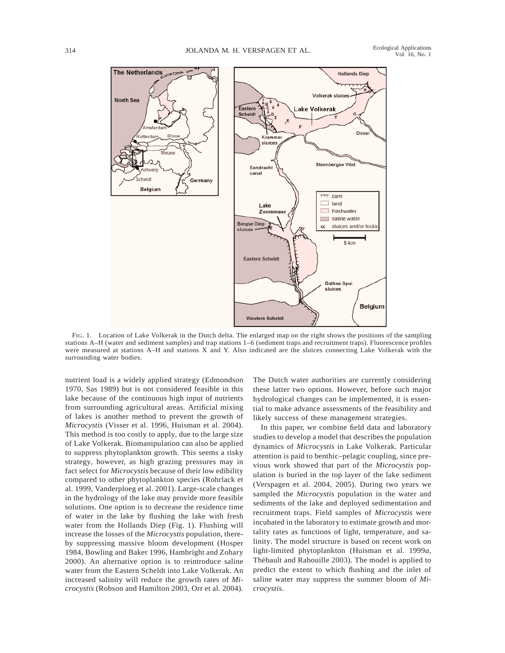



FIG. 1. Location of Lake Volkerak in the Dutch delta. The enlarged map on the right shows the positions of the sampling stations A–H (water and sediment samples) and trap stations 1–6 (sediment traps and recruitment traps). Fluorescence profiles were measured at stations A–H and stations X and Y. Also indicated are the sluices connecting Lake Volkerak with the surrounding water bodies.

nutrient load is a widely applied strategy (Edmondson 1970, Sas 1989) but is not considered feasible in this lake because of the continuous high input of nutrients from surrounding agricultural areas. Artificial mixing of lakes is another method to prevent the growth of *Microcystis* (Visser et al. 1996, Huisman et al. 2004). This method is too costly to apply, due to the large size of Lake Volkerak. Biomanipulation can also be applied to suppress phytoplankton growth. This seems a risky strategy, however, as high grazing pressures may in fact select for *Microcystis* because of their low edibility compared to other phytoplankton species (Rohrlack et al. 1999, Vanderploeg et al. 2001). Large-scale changes in the hydrology of the lake may provide more feasible solutions. One option is to decrease the residence time of water in the lake by flushing the lake with fresh water from the Hollands Diep (Fig. 1). Flushing will increase the losses of the *Microcystis* population, thereby suppressing massive bloom development (Hosper 1984, Bowling and Baker 1996, Hambright and Zohary 2000). An alternative option is to reintroduce saline water from the Eastern Scheldt into Lake Volkerak. An increased salinity will reduce the growth rates of *Microcystis* (Robson and Hamilton 2003, Orr et al. 2004). The Dutch water authorities are currently considering these latter two options. However, before such major hydrological changes can be implemented, it is essential to make advance assessments of the feasibility and likely success of these management strategies.

In this paper, we combine field data and laboratory studies to develop a model that describes the population dynamics of *Microcystis* in Lake Volkerak. Particular attention is paid to benthic–pelagic coupling, since previous work showed that part of the *Microcystis* population is buried in the top layer of the lake sediment (Verspagen et al. 2004, 2005). During two years we sampled the *Microcystis* population in the water and sediments of the lake and deployed sedimentation and recruitment traps. Field samples of *Microcystis* were incubated in the laboratory to estimate growth and mortality rates as functions of light, temperature, and salinity. The model structure is based on recent work on light-limited phytoplankton (Huisman et al. 1999*a*, Thébault and Rabouille 2003). The model is applied to predict the extent to which flushing and the inlet of saline water may suppress the summer bloom of *Microcystis*.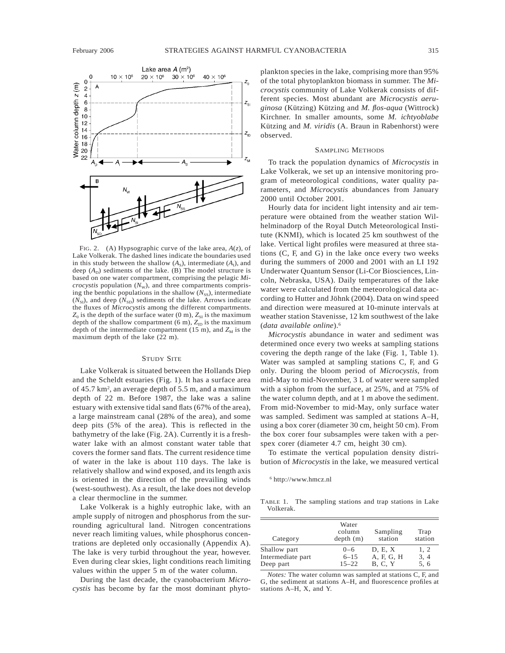

FIG. 2. (A) Hypsographic curve of the lake area, *A*(*z*), of Lake Volkerak. The dashed lines indicate the boundaries used in this study between the shallow  $(A<sub>S</sub>)$ , intermediate  $(A<sub>I</sub>)$ , and deep  $(A_D)$  sediments of the lake. (B) The model structure is based on one water compartment, comprising the pelagic *Microcystis* population  $(N_{\rm W})$ , and three compartments comprising the benthic populations in the shallow  $(N_{ss})$ , intermediate  $(N_{\rm SI})$ , and deep  $(N_{\rm SD})$  sediments of the lake. Arrows indicate the fluxes of *Microcystis* among the different compartments.  $Z_0$  is the depth of the surface water (0 m),  $Z_{SI}$  is the maximum depth of the shallow compartment (6 m),  $Z_{ID}$  is the maximum depth of the intermediate compartment (15 m), and  $Z_M$  is the maximum depth of the lake (22 m).

### STUDY SITE

Lake Volkerak is situated between the Hollands Diep and the Scheldt estuaries (Fig. 1). It has a surface area of 45.7 km<sup>2</sup>, an average depth of 5.5 m, and a maximum depth of 22 m. Before 1987, the lake was a saline estuary with extensive tidal sand flats (67% of the area), a large mainstream canal (28% of the area), and some deep pits (5% of the area). This is reflected in the bathymetry of the lake (Fig. 2A). Currently it is a freshwater lake with an almost constant water table that covers the former sand flats. The current residence time of water in the lake is about 110 days. The lake is relatively shallow and wind exposed, and its length axis is oriented in the direction of the prevailing winds (west-southwest). As a result, the lake does not develop a clear thermocline in the summer.

Lake Volkerak is a highly eutrophic lake, with an ample supply of nitrogen and phosphorus from the surrounding agricultural land. Nitrogen concentrations never reach limiting values, while phosphorus concentrations are depleted only occasionally (Appendix A). The lake is very turbid throughout the year, however. Even during clear skies, light conditions reach limiting values within the upper 5 m of the water column.

During the last decade, the cyanobacterium *Microcystis* has become by far the most dominant phytoplankton species in the lake, comprising more than 95% of the total phytoplankton biomass in summer. The *Microcystis* community of Lake Volkerak consists of different species. Most abundant are *Microcystis aeruginosa* (Ku¨tzing) Ku¨tzing and *M. flos*-*aqua* (Wittrock) Kirchner. In smaller amounts, some *M. ichtyoblabe* Kützing and *M. viridis* (A. Braun in Rabenhorst) were observed.

# SAMPLING METHODS

To track the population dynamics of *Microcystis* in Lake Volkerak, we set up an intensive monitoring program of meteorological conditions, water quality parameters, and *Microcystis* abundances from January 2000 until October 2001.

Hourly data for incident light intensity and air temperature were obtained from the weather station Wilhelminadorp of the Royal Dutch Meteorological Institute (KNMI), which is located 25 km southwest of the lake. Vertical light profiles were measured at three stations (C, F, and G) in the lake once every two weeks during the summers of 2000 and 2001 with an LI 192 Underwater Quantum Sensor (Li-Cor Biosciences, Lincoln, Nebraska, USA). Daily temperatures of the lake water were calculated from the meteorological data according to Hutter and Jöhnk (2004). Data on wind speed and direction were measured at 10-minute intervals at weather station Stavenisse, 12 km southwest of the lake (*data available online*).6

*Microcystis* abundance in water and sediment was determined once every two weeks at sampling stations covering the depth range of the lake (Fig. 1, Table 1). Water was sampled at sampling stations C, F, and G only. During the bloom period of *Microcystis*, from mid-May to mid-November, 3 L of water were sampled with a siphon from the surface, at 25%, and at 75% of the water column depth, and at 1 m above the sediment. From mid-November to mid-May, only surface water was sampled. Sediment was sampled at stations A–H, using a box corer (diameter 30 cm, height 50 cm). From the box corer four subsamples were taken with a perspex corer (diameter 4.7 cm, height 30 cm).

To estimate the vertical population density distribution of *Microcystis* in the lake, we measured vertical

<sup>6</sup> http://www.hmcz.nl

TABLE 1. The sampling stations and trap stations in Lake Volkerak.

| Category                       | Water<br>column<br>depth(m) | Sampling<br>station          | Trap<br>station |
|--------------------------------|-----------------------------|------------------------------|-----------------|
| Shallow part                   | $0 - 6$                     | D, E, X                      | 1, 2            |
| Intermediate part<br>Deep part | $6 - 15$<br>$15 - 22$       | A, F, G, H<br><b>B. C. Y</b> | 3, 4<br>5, 6    |
|                                |                             |                              |                 |

*Notes:* The water column was sampled at stations C, F, and G, the sediment at stations A–H, and fluorescence profiles at stations A–H, X, and Y.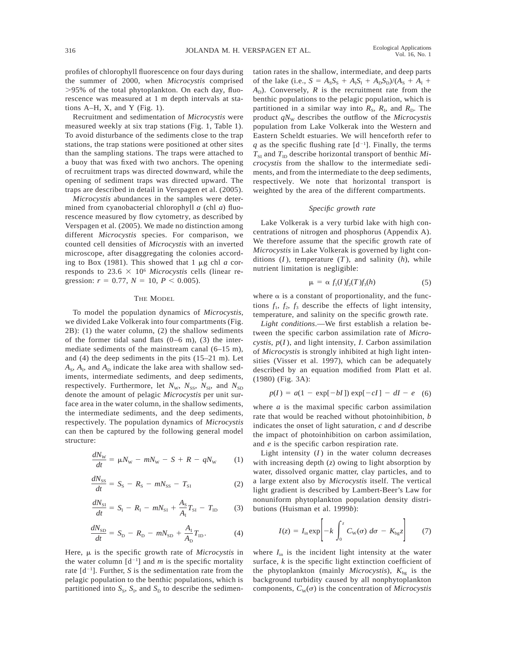profiles of chlorophyll fluorescence on four days during the summer of 2000, when *Microcystis* comprised .95% of the total phytoplankton. On each day, fluorescence was measured at 1 m depth intervals at stations  $A-H$ , X, and Y (Fig. 1).

Recruitment and sedimentation of *Microcystis* were measured weekly at six trap stations (Fig. 1, Table 1). To avoid disturbance of the sediments close to the trap stations, the trap stations were positioned at other sites than the sampling stations. The traps were attached to a buoy that was fixed with two anchors. The opening of recruitment traps was directed downward, while the opening of sediment traps was directed upward. The traps are described in detail in Verspagen et al. (2005).

*Microcystis* abundances in the samples were determined from cyanobacterial chlorophyll *a* (chl *a*) fluorescence measured by flow cytometry, as described by Verspagen et al. (2005). We made no distinction among different *Microcystis* species. For comparison, we counted cell densities of *Microcystis* with an inverted microscope, after disaggregating the colonies according to Box (1981). This showed that  $1 \mu$ g chl *a* corresponds to  $23.6 \times 10^6$  *Microcystis* cells (linear regression:  $r = 0.77$ ,  $N = 10$ ,  $P < 0.005$ ).

### THE MODEL

To model the population dynamics of *Microcystis*, we divided Lake Volkerak into four compartments (Fig. 2B): (1) the water column, (2) the shallow sediments of the former tidal sand flats  $(0-6 \text{ m})$ ,  $(3)$  the intermediate sediments of the mainstream canal (6–15 m), and (4) the deep sediments in the pits (15–21 m). Let  $A_{\rm S}$ ,  $A_{\rm I}$ , and  $A_{\rm D}$  indicate the lake area with shallow sediments, intermediate sediments, and deep sediments, respectively. Furthermore, let  $N_{\rm w}$ ,  $N_{\rm ss}$ ,  $N_{\rm SI}$ , and  $N_{\rm SD}$ denote the amount of pelagic *Microcystis* per unit surface area in the water column, in the shallow sediments, the intermediate sediments, and the deep sediments, respectively. The population dynamics of *Microcystis* can then be captured by the following general model structure:

$$
\frac{dN_{\rm w}}{dt} = \mu N_{\rm w} - mN_{\rm w} - S + R - qN_{\rm w} \tag{1}
$$

$$
\frac{dN_{\rm SS}}{dt} = S_{\rm S} - R_{\rm S} - mN_{\rm SS} - T_{\rm SI} \tag{2}
$$

$$
\frac{dN_{\rm SI}}{dt} = S_{\rm I} - R_{\rm I} - mN_{\rm SI} + \frac{A_{\rm S}}{A_{\rm I}} T_{\rm SI} - T_{\rm ID} \tag{3}
$$

$$
\frac{dN_{\rm SD}}{dt} = S_{\rm D} - R_{\rm D} - mN_{\rm SD} + \frac{A_{\rm I}}{A_{\rm D}} T_{\rm ID}.
$$
 (4)

Here,  $\mu$  is the specific growth rate of *Microcystis* in the water column  $[d^{-1}]$  and *m* is the specific mortality rate  $[d^{-1}]$ . Further, *S* is the sedimentation rate from the pelagic population to the benthic populations, which is partitioned into  $S_S$ ,  $S_I$ , and  $S_D$  to describe the sedimentation rates in the shallow, intermediate, and deep parts of the lake (i.e.,  $S = A_{S}S_{S} + A_{I}S_{I} + A_{D}S_{D})/(A_{S} + A_{I} + A_{I}S_{I})$  $A<sub>D</sub>$ ). Conversely, *R* is the recruitment rate from the benthic populations to the pelagic population, which is partitioned in a similar way into  $R_s$ ,  $R_l$ , and  $R_p$ . The product  $qN_{\text{W}}$  describes the outflow of the *Microcystis* population from Lake Volkerak into the Western and Eastern Scheldt estuaries. We will henceforth refer to *q* as the specific flushing rate  $[d^{-1}]$ . Finally, the terms  $T_{\rm SI}$  and  $T_{\rm ID}$  describe horizontal transport of benthic *Microcystis* from the shallow to the intermediate sediments, and from the intermediate to the deep sediments, respectively. We note that horizontal transport is weighted by the area of the different compartments.

### *Specific growth rate*

Lake Volkerak is a very turbid lake with high concentrations of nitrogen and phosphorus (Appendix A). We therefore assume that the specific growth rate of *Microcystis* in Lake Volkerak is governed by light conditions  $(I)$ , temperature  $(T)$ , and salinity  $(h)$ , while nutrient limitation is negligible:

$$
\mu = \alpha f_1(I) f_2(T) f_3(h) \tag{5}
$$

where  $\alpha$  is a constant of proportionality, and the functions  $f_1$ ,  $f_2$ ,  $f_3$  describe the effects of light intensity, temperature, and salinity on the specific growth rate.

*Light conditions*.—We first establish a relation between the specific carbon assimilation rate of *Microcystis*, *p*(*I* ), and light intensity, *I*. Carbon assimilation of *Microcystis* is strongly inhibited at high light intensities (Visser et al. 1997), which can be adequately described by an equation modified from Platt et al. (1980) (Fig. 3A):

$$
p(I) = a(1 - \exp[-bI]) \exp[-cI] - dI - e \quad (6)
$$

where *a* is the maximal specific carbon assimilation rate that would be reached without photoinhibition, *b* indicates the onset of light saturation, *c* and *d* describe the impact of photoinhibition on carbon assimilation, and *e* is the specific carbon respiration rate.

Light intensity  $(I)$  in the water column decreases with increasing depth (*z*) owing to light absorption by water, dissolved organic matter, clay particles, and to a large extent also by *Microcystis* itself. The vertical light gradient is described by Lambert-Beer's Law for nonuniform phytoplankton population density distributions (Huisman et al. 1999*b*):

$$
I(z) = I_{\text{in}} \exp\left[-k \int_0^z C_{\text{W}}(\sigma) \ d\sigma - K_{\text{bg}} z\right] \tag{7}
$$

where  $I_{\text{in}}$  is the incident light intensity at the water surface, *k* is the specific light extinction coefficient of the phytoplankton (mainly *Microcystis*),  $K_{bg}$  is the background turbidity caused by all nonphytoplankton components,  $C_w(\sigma)$  is the concentration of *Microcystis*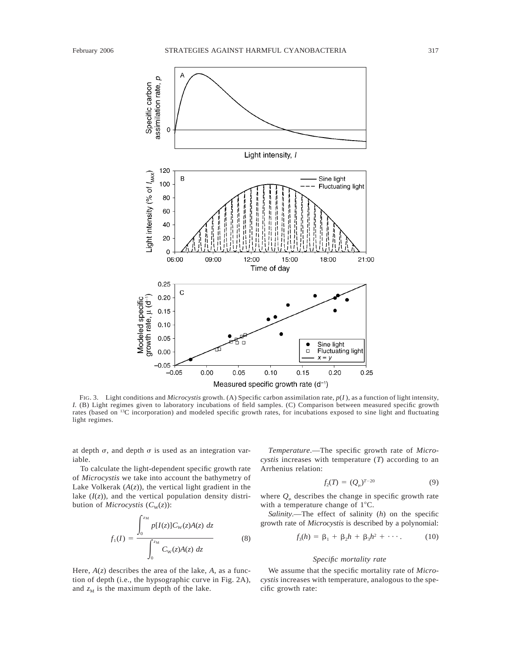

FIG. 3. Light conditions and *Microcystis* growth. (A) Specific carbon assimilation rate, *p*(*I* ), as a function of light intensity, *I.* (B) Light regimes given to laboratory incubations of field samples. (C) Comparison between measured specific growth rates (based on 13C incorporation) and modeled specific growth rates, for incubations exposed to sine light and fluctuating light regimes.

at depth  $\sigma$ , and depth  $\sigma$  is used as an integration variable.

To calculate the light-dependent specific growth rate of *Microcystis* we take into account the bathymetry of Lake Volkerak  $(A(z))$ , the vertical light gradient in the lake  $(I(z))$ , and the vertical population density distribution of *Microcystis*  $(C_w(z))$ :

$$
f_1(I) = \frac{\int_0^{z_M} p[I(z)] C_{\rm W}(z) A(z) \, dz}{\int_0^{z_M} C_{\rm W}(z) A(z) \, dz}
$$
(8)

Here,  $A(z)$  describes the area of the lake,  $A$ , as a function of depth (i.e., the hypsographic curve in Fig. 2A), and  $z_M$  is the maximum depth of the lake.

*Temperature*.—The specific growth rate of *Microcystis* increases with temperature (*T*) according to an Arrhenius relation:

$$
f_2(T) = (Q_{\mu})^{T-20} \tag{9}
$$

where  $Q_{\mu}$  describes the change in specific growth rate with a temperature change of  $1^{\circ}$ C.

*Salinity*.—The effect of salinity (*h*) on the specific growth rate of *Microcystis* is described by a polynomial:

$$
f_3(h) = \beta_1 + \beta_2 h + \beta_3 h^2 + \cdots
$$
 (10)

### *Specific mortality rate*

We assume that the specific mortality rate of *Microcystis* increases with temperature, analogous to the specific growth rate: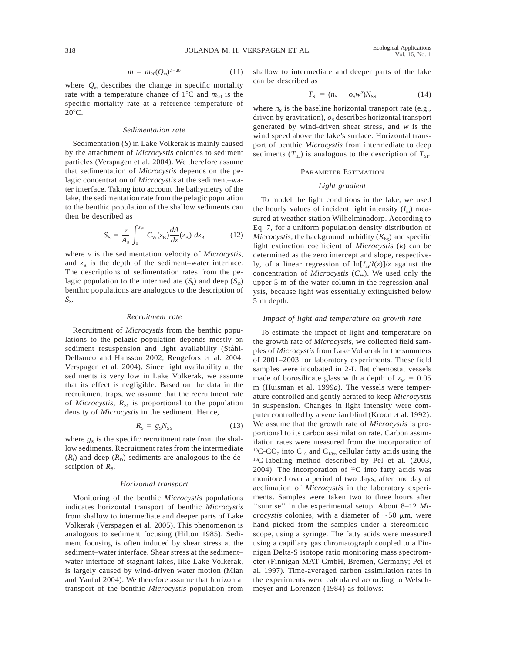$$
m = m_{20}(Q_m)^{T-20} \tag{11}
$$

where  $Q_m$  describes the change in specific mortality rate with a temperature change of  $1^{\circ}$ C and  $m_{20}$  is the specific mortality rate at a reference temperature of  $20^{\circ}$ C.

#### *Sedimentation rate*

Sedimentation (*S*) in Lake Volkerak is mainly caused by the attachment of *Microcystis* colonies to sediment particles (Verspagen et al. 2004). We therefore assume that sedimentation of *Microcystis* depends on the pelagic concentration of *Microcystis* at the sediment–water interface. Taking into account the bathymetry of the lake, the sedimentation rate from the pelagic population to the benthic population of the shallow sediments can then be described as

$$
S_{\rm S} = \frac{\nu}{A_{\rm S}} \int_0^{z_{\rm SI}} C_{\rm W}(z_{\rm B}) \frac{dA}{dz}(z_{\rm B}) \ dz_{\rm B} \tag{12}
$$

where *v* is the sedimentation velocity of *Microcystis*, and  $z_B$  is the depth of the sediment–water interface. The descriptions of sedimentation rates from the pelagic population to the intermediate  $(S_I)$  and deep  $(S_D)$ benthic populations are analogous to the description of *S*<sub>S</sub>.

#### *Recruitment rate*

Recruitment of *Microcystis* from the benthic populations to the pelagic population depends mostly on sediment resuspension and light availability (Ståhl-Delbanco and Hansson 2002, Rengefors et al. 2004, Verspagen et al. 2004). Since light availability at the sediments is very low in Lake Volkerak, we assume that its effect is negligible. Based on the data in the recruitment traps, we assume that the recruitment rate of *Microcystis*,  $R_s$ , is proportional to the population density of *Microcystis* in the sediment. Hence,

$$
R_{\rm S} = g_{\rm S} N_{\rm SS} \tag{13}
$$

where  $g_S$  is the specific recruitment rate from the shallow sediments. Recruitment rates from the intermediate  $(R<sub>1</sub>)$  and deep  $(R<sub>D</sub>)$  sediments are analogous to the description of  $R<sub>S</sub>$ .

### *Horizontal transport*

Monitoring of the benthic *Microcystis* populations indicates horizontal transport of benthic *Microcystis* from shallow to intermediate and deeper parts of Lake Volkerak (Verspagen et al. 2005). This phenomenon is analogous to sediment focusing (Hilton 1985). Sediment focusing is often induced by shear stress at the sediment–water interface. Shear stress at the sediment– water interface of stagnant lakes, like Lake Volkerak, is largely caused by wind-driven water motion (Mian and Yanful 2004). We therefore assume that horizontal transport of the benthic *Microcystis* population from shallow to intermediate and deeper parts of the lake can be described as

$$
T_{\rm SI} = (n_{\rm S} + o_{\rm S} w^2) N_{\rm SS} \tag{14}
$$

where  $n<sub>S</sub>$  is the baseline horizontal transport rate (e.g., driven by gravitation),  $o<sub>S</sub>$  describes horizontal transport generated by wind-driven shear stress, and *w* is the wind speed above the lake's surface. Horizontal transport of benthic *Microcystis* from intermediate to deep sediments  $(T_{\text{ID}})$  is analogous to the description of  $T_{\text{SI}}$ .

### PARAMETER ESTIMATION

### *Light gradient*

To model the light conditions in the lake, we used the hourly values of incident light intensity  $(I_{in})$  measured at weather station Wilhelminadorp. According to Eq. 7, for a uniform population density distribution of *Microcystis*, the background turbidity  $(K_{b<sub>o</sub>})$  and specific light extinction coefficient of *Microcystis* (*k*) can be determined as the zero intercept and slope, respectively, of a linear regression of  $\ln[I_{in}/I(z)]/z$  against the concentration of *Microcystis*  $(C<sub>W</sub>)$ . We used only the upper 5 m of the water column in the regression analysis, because light was essentially extinguished below 5 m depth.

### *Impact of light and temperature on growth rate*

To estimate the impact of light and temperature on the growth rate of *Microcystis*, we collected field samples of *Microcystis* from Lake Volkerak in the summers of 2001–2003 for laboratory experiments. These field samples were incubated in 2-L flat chemostat vessels made of borosilicate glass with a depth of  $z_M = 0.05$ m (Huisman et al. 1999*a*). The vessels were temperature controlled and gently aerated to keep *Microcystis* in suspension. Changes in light intensity were computer controlled by a venetian blind (Kroon et al. 1992). We assume that the growth rate of *Microcystis* is proportional to its carbon assimilation rate. Carbon assimilation rates were measured from the incorporation of <sup>13</sup>C-CO<sub>2</sub> into C<sub>16</sub> and C<sub>18:n</sub> cellular fatty acids using the 13C-labeling method described by Pel et al. (2003, 2004). The incorporation of  $^{13}C$  into fatty acids was monitored over a period of two days, after one day of acclimation of *Microcystis* in the laboratory experiments. Samples were taken two to three hours after "sunrise" in the experimental setup. About 8–12 *Microcystis* colonies, with a diameter of  $\sim 50 \mu$ m, were hand picked from the samples under a stereomicroscope, using a syringe. The fatty acids were measured using a capillary gas chromatograph coupled to a Finnigan Delta-S isotope ratio monitoring mass spectrometer (Finnigan MAT GmbH, Bremen, Germany; Pel et al. 1997). Time-averaged carbon assimilation rates in the experiments were calculated according to Welschmeyer and Lorenzen (1984) as follows: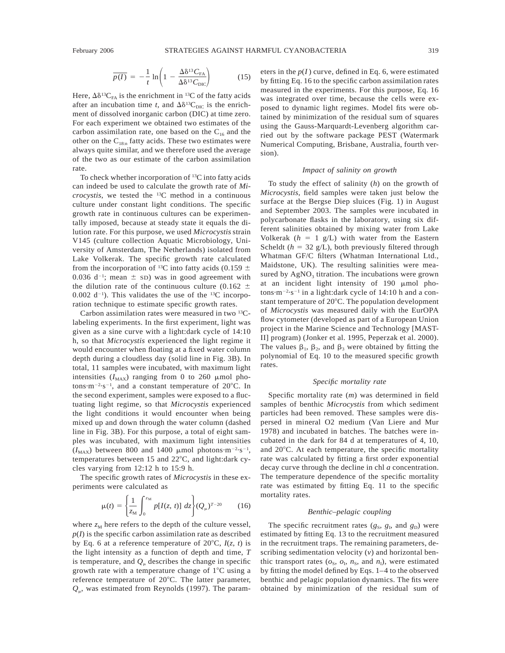$$
\overline{p(I)} = -\frac{1}{t} \ln \left( 1 - \frac{\Delta \delta^{13} C_{\text{FA}}}{\Delta \delta^{13} C_{\text{DIC}}} \right) \tag{15}
$$

Here,  $\Delta \delta^{13}C_{FA}$  is the enrichment in <sup>13</sup>C of the fatty acids after an incubation time *t*, and  $\Delta \delta^{13}C_{\text{DIC}}$  is the enrichment of dissolved inorganic carbon (DIC) at time zero. For each experiment we obtained two estimates of the carbon assimilation rate, one based on the  $C_{16}$  and the other on the  $C_{18:n}$  fatty acids. These two estimates were always quite similar, and we therefore used the average of the two as our estimate of the carbon assimilation rate.

To check whether incorporation of <sup>13</sup>C into fatty acids can indeed be used to calculate the growth rate of *Microcystis*, we tested the 13C method in a continuous culture under constant light conditions. The specific growth rate in continuous cultures can be experimentally imposed, because at steady state it equals the dilution rate. For this purpose, we used *Microcystis* strain V145 (culture collection Aquatic Microbiology, University of Amsterdam, The Netherlands) isolated from Lake Volkerak. The specific growth rate calculated from the incorporation of <sup>13</sup>C into fatty acids (0.159  $\pm$ 0.036  $d^{-1}$ ; mean  $\pm$  sD) was in good agreement with the dilution rate of the continuous culture (0.162  $\pm$  $0.002$  d<sup>-1</sup>). This validates the use of the <sup>13</sup>C incorporation technique to estimate specific growth rates.

Carbon assimilation rates were measured in two 13Clabeling experiments. In the first experiment, light was given as a sine curve with a light:dark cycle of 14:10 h, so that *Microcystis* experienced the light regime it would encounter when floating at a fixed water column depth during a cloudless day (solid line in Fig. 3B). In total, 11 samples were incubated, with maximum light intensities  $(I_{MAX})$  ranging from 0 to 260  $\mu$ mol photons $\cdot$ m<sup>-2</sup> $\cdot$ s<sup>-1</sup>, and a constant temperature of 20 $\degree$ C. In the second experiment, samples were exposed to a fluctuating light regime, so that *Microcystis* experienced the light conditions it would encounter when being mixed up and down through the water column (dashed line in Fig. 3B). For this purpose, a total of eight samples was incubated, with maximum light intensities  $(I_{\text{MAX}})$  between 800 and 1400  $\mu$ mol photons·m<sup>-2</sup>·s<sup>-1</sup>, temperatures between 15 and 22°C, and light:dark cycles varying from 12:12 h to 15:9 h.

The specific growth rates of *Microcystis* in these experiments were calculated as

$$
\mu(t) = \left\{ \frac{1}{z_M} \int_0^{z_M} p[I(z, t)] \, dz \right\} (Q_\mu)^{T-20} \tag{16}
$$

where  $z_M$  here refers to the depth of the culture vessel,  $p(I)$  is the specific carbon assimilation rate as described by Eq. 6 at a reference temperature of  $20^{\circ}$ C,  $I(z, t)$  is the light intensity as a function of depth and time, *T* is temperature, and  $Q<sub>u</sub>$  describes the change in specific growth rate with a temperature change of  $1^{\circ}$ C using a reference temperature of 20°C. The latter parameter,  $Q_{\mu}$ , was estimated from Reynolds (1997). The parameters in the  $p(I)$  curve, defined in Eq. 6, were estimated by fitting Eq. 16 to the specific carbon assimilation rates measured in the experiments. For this purpose, Eq. 16 was integrated over time, because the cells were exposed to dynamic light regimes. Model fits were obtained by minimization of the residual sum of squares using the Gauss-Marquardt-Levenberg algorithm carried out by the software package PEST (Watermark Numerical Computing, Brisbane, Australia, fourth version).

#### *Impact of salinity on growth*

To study the effect of salinity (*h*) on the growth of *Microcystis*, field samples were taken just below the surface at the Bergse Diep sluices (Fig. 1) in August and September 2003. The samples were incubated in polycarbonate flasks in the laboratory, using six different salinities obtained by mixing water from Lake Volkerak  $(h = 1 g/L)$  with water from the Eastern Scheldt ( $h = 32$  g/L), both previously filtered through Whatman GF/C filters (Whatman International Ltd., Maidstone, UK). The resulting salinities were measured by  $AgNO<sub>3</sub>$  titration. The incubations were grown at an incident light intensity of  $190 \mu$ mol photons $\cdot$ m<sup>-2</sup> $\cdot$ s<sup>-1</sup> in a light:dark cycle of 14:10 h and a constant temperature of  $20^{\circ}$ C. The population development of *Microcystis* was measured daily with the EurOPA flow cytometer (developed as part of a European Union project in the Marine Science and Technology [MAST-II] program) (Jonker et al. 1995, Peperzak et al. 2000). The values  $\beta_1$ ,  $\beta_2$ , and  $\beta_3$  were obtained by fitting the polynomial of Eq. 10 to the measured specific growth rates.

# *Specific mortality rate*

Specific mortality rate (*m*) was determined in field samples of benthic *Microcystis* from which sediment particles had been removed. These samples were dispersed in mineral O2 medium (Van Liere and Mur 1978) and incubated in batches. The batches were incubated in the dark for 84 d at temperatures of 4, 10, and  $20^{\circ}$ C. At each temperature, the specific mortality rate was calculated by fitting a first order exponential decay curve through the decline in chl *a* concentration. The temperature dependence of the specific mortality rate was estimated by fitting Eq. 11 to the specific mortality rates.

## *Benthic–pelagic coupling*

The specific recruitment rates  $(g_S, g_I, \text{ and } g_D)$  were estimated by fitting Eq. 13 to the recruitment measured in the recruitment traps. The remaining parameters, describing sedimentation velocity (*v*) and horizontal benthic transport rates  $(o_S, o_I, n_S, \text{ and } n_I)$ , were estimated by fitting the model defined by Eqs. 1–4 to the observed benthic and pelagic population dynamics. The fits were obtained by minimization of the residual sum of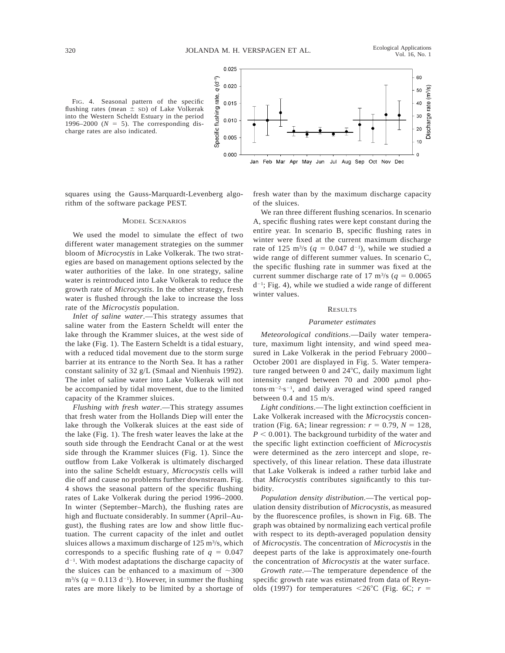



squares using the Gauss-Marquardt-Levenberg algorithm of the software package PEST.

#### MODEL SCENARIOS

We used the model to simulate the effect of two different water management strategies on the summer bloom of *Microcystis* in Lake Volkerak. The two strategies are based on management options selected by the water authorities of the lake. In one strategy, saline water is reintroduced into Lake Volkerak to reduce the growth rate of *Microcystis*. In the other strategy, fresh water is flushed through the lake to increase the loss rate of the *Microcystis* population.

*Inlet of saline water*.—This strategy assumes that saline water from the Eastern Scheldt will enter the lake through the Krammer sluices, at the west side of the lake (Fig. 1). The Eastern Scheldt is a tidal estuary, with a reduced tidal movement due to the storm surge barrier at its entrance to the North Sea. It has a rather constant salinity of 32 g/L (Smaal and Nienhuis 1992). The inlet of saline water into Lake Volkerak will not be accompanied by tidal movement, due to the limited capacity of the Krammer sluices.

*Flushing with fresh water*.—This strategy assumes that fresh water from the Hollands Diep will enter the lake through the Volkerak sluices at the east side of the lake (Fig. 1). The fresh water leaves the lake at the south side through the Eendracht Canal or at the west side through the Krammer sluices (Fig. 1). Since the outflow from Lake Volkerak is ultimately discharged into the saline Scheldt estuary, *Microcystis* cells will die off and cause no problems further downstream. Fig. 4 shows the seasonal pattern of the specific flushing rates of Lake Volkerak during the period 1996–2000. In winter (September–March), the flushing rates are high and fluctuate considerably. In summer (April–August), the flushing rates are low and show little fluctuation. The current capacity of the inlet and outlet sluices allows a maximum discharge of  $125 \text{ m}^3\text{/s}$ , which corresponds to a specific flushing rate of  $q = 0.047$  $d^{-1}$ . With modest adaptations the discharge capacity of the sluices can be enhanced to a maximum of  $\sim$ 300  $\text{m}^{3}/\text{s}$  ( $q = 0.113 \text{ d}^{-1}$ ). However, in summer the flushing rates are more likely to be limited by a shortage of fresh water than by the maximum discharge capacity of the sluices.

We ran three different flushing scenarios. In scenario A, specific flushing rates were kept constant during the entire year. In scenario B, specific flushing rates in winter were fixed at the current maximum discharge rate of 125 m<sup>3</sup>/s ( $q = 0.047$  d<sup>-1</sup>), while we studied a wide range of different summer values. In scenario C, the specific flushing rate in summer was fixed at the current summer discharge rate of 17 m<sup>3</sup>/s ( $q = 0.0065$ )  $d^{-1}$ ; Fig. 4), while we studied a wide range of different winter values.

#### **RESULTS**

### *Parameter estimates*

*Meteorological conditions*.—Daily water temperature, maximum light intensity, and wind speed measured in Lake Volkerak in the period February 2000– October 2001 are displayed in Fig. 5. Water temperature ranged between  $0$  and  $24^{\circ}$ C, daily maximum light intensity ranged between 70 and 2000  $\mu$ mol photons $\cdot$ m<sup>-2</sup> $\cdot$ s<sup>-1</sup>, and daily averaged wind speed ranged between 0.4 and 15 m/s.

*Light conditions*.—The light extinction coefficient in Lake Volkerak increased with the *Microcystis* concentration (Fig. 6A; linear regression:  $r = 0.79$ ,  $N = 128$ ,  $P < 0.001$ ). The background turbidity of the water and the specific light extinction coefficient of *Microcystis* were determined as the zero intercept and slope, respectively, of this linear relation. These data illustrate that Lake Volkerak is indeed a rather turbid lake and that *Microcystis* contributes significantly to this turbidity.

*Population density distribution*.—The vertical population density distribution of *Microcystis*, as measured by the fluorescence profiles, is shown in Fig. 6B. The graph was obtained by normalizing each vertical profile with respect to its depth-averaged population density of *Microcystis*. The concentration of *Microcystis* in the deepest parts of the lake is approximately one-fourth the concentration of *Microcystis* at the water surface.

*Growth rate*.—The temperature dependence of the specific growth rate was estimated from data of Reynolds (1997) for temperatures  $\langle 26^{\circ}$ C (Fig. 6C;  $r =$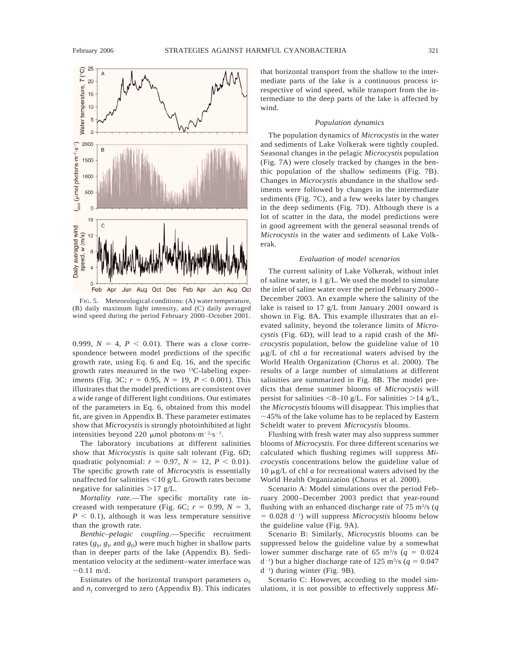

FIG. 5. Meteorological conditions: (A) water temperature, (B) daily maximum light intensity, and (C) daily averaged wind speed during the period February 2000–October 2001.

0.999,  $N = 4$ ,  $P < 0.01$ ). There was a close correspondence between model predictions of the specific growth rate, using Eq. 6 and Eq. 16, and the specific growth rates measured in the two 13C-labeling experiments (Fig. 3C;  $r = 0.95$ ,  $N = 19$ ,  $P < 0.001$ ). This illustrates that the model predictions are consistent over a wide range of different light conditions. Our estimates of the parameters in Eq. 6, obtained from this model fit, are given in Appendix B. These parameter estimates show that *Microcystis* is strongly photoinhibited at light intensities beyond 220  $\mu$ mol photons·m<sup>-2</sup>·s<sup>-1</sup>.

The laboratory incubations at different salinities show that *Microcystis* is quite salt tolerant (Fig. 6D; quadratic polynomial:  $r = 0.97$ ,  $N = 12$ ,  $P < 0.01$ ). The specific growth rate of *Microcystis* is essentially unaffected for salinities  $<$ 10 g/L. Growth rates become negative for salinities  $>17$  g/L.

*Mortality rate*.—The specific mortality rate increased with temperature (Fig. 6C;  $r = 0.99$ ,  $N = 3$ ,  $P < 0.1$ ), although it was less temperature sensitive than the growth rate.

*Benthic–pelagic coupling*.—Specific recruitment rates  $(g_S, g_I, \text{ and } g_D)$  were much higher in shallow parts than in deeper parts of the lake (Appendix B). Sedimentation velocity at the sediment–water interface was  $\sim 0.11$  m/d.

Estimates of the horizontal transport parameters  $o<sub>S</sub>$ and  $n<sub>I</sub>$  converged to zero (Appendix B). This indicates that horizontal transport from the shallow to the intermediate parts of the lake is a continuous process irrespective of wind speed, while transport from the intermediate to the deep parts of the lake is affected by wind.

### *Population dynamics*

The population dynamics of *Microcystis* in the water and sediments of Lake Volkerak were tightly coupled. Seasonal changes in the pelagic *Microcystis* population (Fig. 7A) were closely tracked by changes in the benthic population of the shallow sediments (Fig. 7B). Changes in *Microcystis* abundance in the shallow sediments were followed by changes in the intermediate sediments (Fig. 7C), and a few weeks later by changes in the deep sediments (Fig. 7D). Although there is a lot of scatter in the data, the model predictions were in good agreement with the general seasonal trends of *Microcystis* in the water and sediments of Lake Volkerak.

### *Evaluation of model scenarios*

The current salinity of Lake Volkerak, without inlet of saline water, is 1 g/L. We used the model to simulate the inlet of saline water over the period February 2000– December 2003. An example where the salinity of the lake is raised to 17 g/L from January 2001 onward is shown in Fig. 8A. This example illustrates that an elevated salinity, beyond the tolerance limits of *Microcystis* (Fig. 6D), will lead to a rapid crash of the *Microcystis* population, below the guideline value of 10  $\mu$ g/L of chl *a* for recreational waters advised by the World Health Organization (Chorus et al. 2000). The results of a large number of simulations at different salinities are summarized in Fig. 8B. The model predicts that dense summer blooms of *Microcystis* will persist for salinities  $\leq 8-10$  g/L. For salinities  $\geq 14$  g/L, the *Microcystis* blooms will disappear. This implies that  $\sim$ 45% of the lake volume has to be replaced by Eastern Scheldt water to prevent *Microcystis* blooms.

Flushing with fresh water may also suppress summer blooms of *Microcystis*. For three different scenarios we calculated which flushing regimes will suppress *Microcystis* concentrations below the guideline value of 10 mg/L of chl *a* for recreational waters advised by the World Health Organization (Chorus et al. 2000).

Scenario A: Model simulations over the period February 2000–December 2003 predict that year-round flushing with an enhanced discharge rate of 75 m3 /s (*q*  $= 0.028$  d<sup>-1</sup>) will suppress *Microcystis* blooms below the guideline value (Fig. 9A).

Scenario B: Similarly, *Microcystis* blooms can be suppressed below the guideline value by a somewhat lower summer discharge rate of 65 m<sup>3</sup>/s ( $q = 0.024$ )  $d^{-1}$ ) but a higher discharge rate of 125 m<sup>3</sup>/s ( $q = 0.047$  $d^{-1}$ ) during winter (Fig. 9B).

Scenario C: However, according to the model simulations, it is not possible to effectively suppress *Mi-*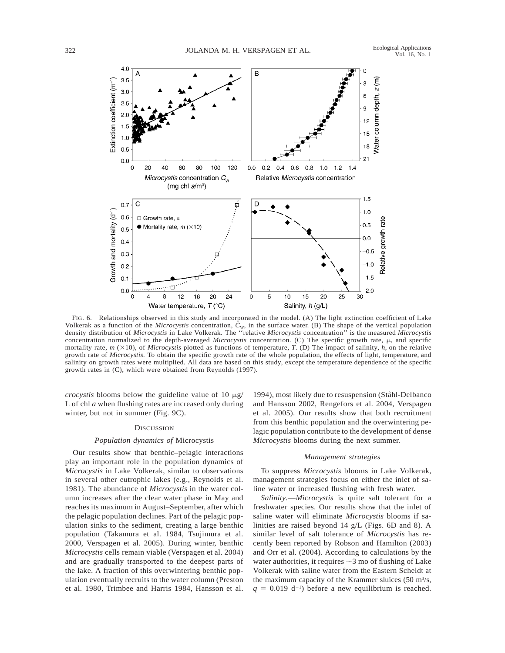

FIG. 6. Relationships observed in this study and incorporated in the model. (A) The light extinction coefficient of Lake Volkerak as a function of the *Microcystis* concentration,  $C<sub>w</sub>$ , in the surface water. (B) The shape of the vertical population density distribution of *Microcystis* in Lake Volkerak. The ''relative *Microcystis* concentration'' is the measured *Microcystis* concentration normalized to the depth-averaged *Microcystis* concentration. (C) The specific growth rate,  $\mu$ , and specific mortality rate, *m* ( $\times$ 10), of *Microcystis* plotted as functions of temperature, *T*. (D) The impact of salinity, *h*, on the relative growth rate of *Microcystis*. To obtain the specific growth rate of the whole population, the effects of light, temperature, and salinity on growth rates were multiplied. All data are based on this study, except the temperature dependence of the specific growth rates in (C), which were obtained from Reynolds (1997).

*crocystis* blooms below the guideline value of 10  $\mu$ g/ L of chl *a* when flushing rates are increased only during winter, but not in summer (Fig. 9C).

#### **DISCUSSION**

### *Population dynamics of* Microcystis

Our results show that benthic–pelagic interactions play an important role in the population dynamics of *Microcystis* in Lake Volkerak, similar to observations in several other eutrophic lakes (e.g., Reynolds et al. 1981). The abundance of *Microcystis* in the water column increases after the clear water phase in May and reaches its maximum in August–September, after which the pelagic population declines. Part of the pelagic population sinks to the sediment, creating a large benthic population (Takamura et al. 1984, Tsujimura et al. 2000, Verspagen et al. 2005). During winter, benthic *Microcystis* cells remain viable (Verspagen et al. 2004) and are gradually transported to the deepest parts of the lake. A fraction of this overwintering benthic population eventually recruits to the water column (Preston et al. 1980, Trimbee and Harris 1984, Hansson et al.

1994), most likely due to resuspension (Ståhl-Delbanco and Hansson 2002, Rengefors et al. 2004, Verspagen et al. 2005). Our results show that both recruitment from this benthic population and the overwintering pelagic population contribute to the development of dense *Microcystis* blooms during the next summer.

### *Management strategies*

To suppress *Microcystis* blooms in Lake Volkerak, management strategies focus on either the inlet of saline water or increased flushing with fresh water.

*Salinity*.—*Microcystis* is quite salt tolerant for a freshwater species. Our results show that the inlet of saline water will eliminate *Microcystis* blooms if salinities are raised beyond 14 g/L (Figs. 6D and 8). A similar level of salt tolerance of *Microcystis* has recently been reported by Robson and Hamilton (2003) and Orr et al. (2004). According to calculations by the water authorities, it requires  $\sim$  3 mo of flushing of Lake Volkerak with saline water from the Eastern Scheldt at the maximum capacity of the Krammer sluices  $(50 \text{ m}^3/\text{s},$  $q = 0.019$  d<sup>-1</sup>) before a new equilibrium is reached.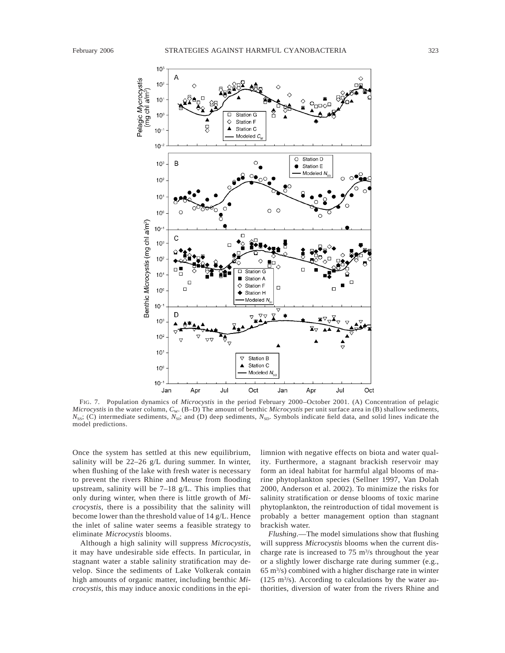

FIG. 7. Population dynamics of *Microcystis* in the period February 2000–October 2001. (A) Concentration of pelagic *Microcystis* in the water column,  $C_W$ . (B-D) The amount of benthic *Microcystis* per unit surface area in (B) shallow sediments, *N*<sub>SS</sub>; (C) intermediate sediments, *N*<sub>SI</sub>; and (D) deep sediments, *N*<sub>SD</sub>. Symbols indicate field data, and solid lines indicate the model predictions.

Once the system has settled at this new equilibrium, salinity will be 22–26 g/L during summer. In winter, when flushing of the lake with fresh water is necessary to prevent the rivers Rhine and Meuse from flooding upstream, salinity will be 7–18 g/L. This implies that only during winter, when there is little growth of *Microcystis*, there is a possibility that the salinity will become lower than the threshold value of 14 g/L. Hence the inlet of saline water seems a feasible strategy to eliminate *Microcystis* blooms.

Although a high salinity will suppress *Microcystis*, it may have undesirable side effects. In particular, in stagnant water a stable salinity stratification may develop. Since the sediments of Lake Volkerak contain high amounts of organic matter, including benthic *Microcystis*, this may induce anoxic conditions in the epilimnion with negative effects on biota and water quality. Furthermore, a stagnant brackish reservoir may form an ideal habitat for harmful algal blooms of marine phytoplankton species (Sellner 1997, Van Dolah 2000, Anderson et al. 2002). To minimize the risks for salinity stratification or dense blooms of toxic marine phytoplankton, the reintroduction of tidal movement is probably a better management option than stagnant brackish water.

*Flushing*.—The model simulations show that flushing will suppress *Microcystis* blooms when the current discharge rate is increased to  $75 \text{ m}^3\text{/s}$  throughout the year or a slightly lower discharge rate during summer (e.g., 65 m3 /s) combined with a higher discharge rate in winter  $(125 \text{ m}^3/\text{s})$ . According to calculations by the water authorities, diversion of water from the rivers Rhine and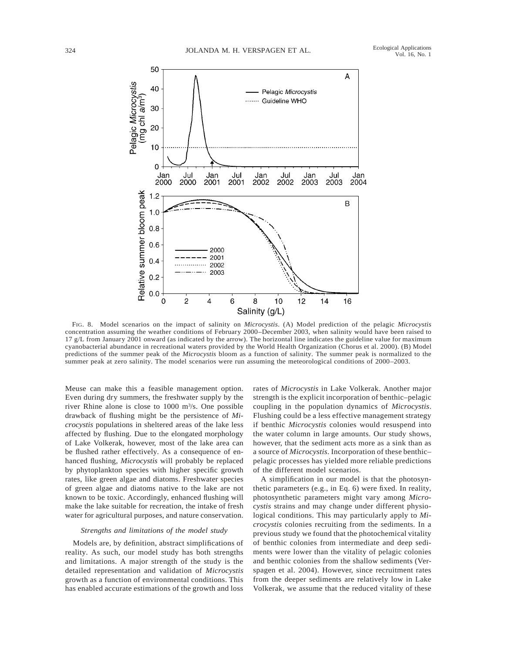

FIG. 8. Model scenarios on the impact of salinity on *Microcystis*. (A) Model prediction of the pelagic *Microcystis* concentration assuming the weather conditions of February 2000–December 2003, when salinity would have been raised to 17 g/L from January 2001 onward (as indicated by the arrow). The horizontal line indicates the guideline value for maximum cyanobacterial abundance in recreational waters provided by the World Health Organization (Chorus et al. 2000). (B) Model predictions of the summer peak of the *Microcystis* bloom as a function of salinity. The summer peak is normalized to the summer peak at zero salinity. The model scenarios were run assuming the meteorological conditions of 2000–2003.

Meuse can make this a feasible management option. Even during dry summers, the freshwater supply by the river Rhine alone is close to 1000 m3 /s. One possible drawback of flushing might be the persistence of *Microcystis* populations in sheltered areas of the lake less affected by flushing. Due to the elongated morphology of Lake Volkerak, however, most of the lake area can be flushed rather effectively. As a consequence of enhanced flushing, *Microcystis* will probably be replaced by phytoplankton species with higher specific growth rates, like green algae and diatoms. Freshwater species of green algae and diatoms native to the lake are not known to be toxic. Accordingly, enhanced flushing will make the lake suitable for recreation, the intake of fresh water for agricultural purposes, and nature conservation.

### *Strengths and limitations of the model study*

Models are, by definition, abstract simplifications of reality. As such, our model study has both strengths and limitations. A major strength of the study is the detailed representation and validation of *Microcystis* growth as a function of environmental conditions. This has enabled accurate estimations of the growth and loss

rates of *Microcystis* in Lake Volkerak. Another major strength is the explicit incorporation of benthic–pelagic coupling in the population dynamics of *Microcystis*. Flushing could be a less effective management strategy if benthic *Microcystis* colonies would resuspend into the water column in large amounts. Our study shows, however, that the sediment acts more as a sink than as a source of *Microcystis*. Incorporation of these benthic– pelagic processes has yielded more reliable predictions of the different model scenarios.

A simplification in our model is that the photosynthetic parameters (e.g., in Eq. 6) were fixed. In reality, photosynthetic parameters might vary among *Microcystis* strains and may change under different physiological conditions. This may particularly apply to *Microcystis* colonies recruiting from the sediments. In a previous study we found that the photochemical vitality of benthic colonies from intermediate and deep sediments were lower than the vitality of pelagic colonies and benthic colonies from the shallow sediments (Verspagen et al. 2004). However, since recruitment rates from the deeper sediments are relatively low in Lake Volkerak, we assume that the reduced vitality of these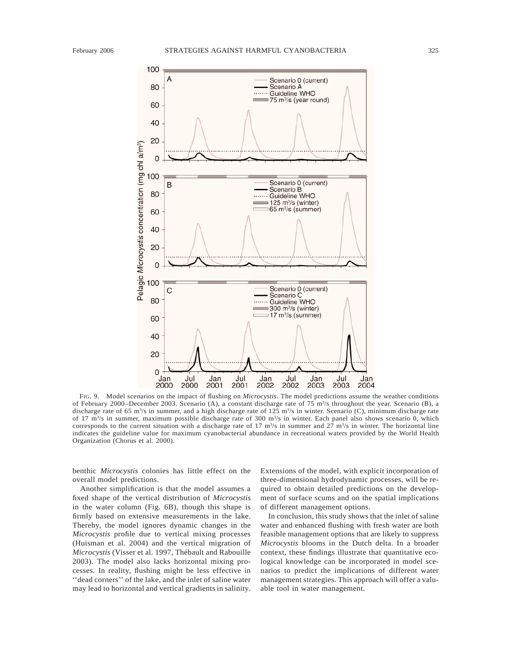

FIG. 9. Model scenarios on the impact of flushing on *Microcystis*. The model predictions assume the weather conditions of February 2000–December 2003. Scenario (A), a constant discharge rate of 75  $\rm m<sup>3</sup>/s$  throughout the year. Scenario (B), a discharge rate of 65 m<sup>3</sup>/s in summer, and a high discharge rate of 125 m<sup>3</sup>/s in winter. Scenario (C), minimum discharge rate of 17  $\text{m}^3$ /s in summer, maximum possible discharge rate of 300  $\text{m}^3$ /s in winter. Each panel also shows scenario 0, which corresponds to the current situation with a discharge rate of 17  $\text{m}^3/\text{s}$  in summer and 27  $\text{m}^3/\text{s}$  in winter. The horizontal line indicates the guideline value for maximum cyanobacterial abundance in recreational waters provided by the World Health Organization (Chorus et al. 2000).

benthic *Microcystis* colonies has little effect on the overall model predictions.

Another simplification is that the model assumes a fixed shape of the vertical distribution of *Microcystis* in the water column (Fig. 6B), though this shape is firmly based on extensive measurements in the lake. Thereby, the model ignores dynamic changes in the *Microcystis* profile due to vertical mixing processes (Huisman et al. 2004) and the vertical migration of *Microcystis* (Visser et al. 1997, Thébault and Rabouille 2003). The model also lacks horizontal mixing processes. In reality, flushing might be less effective in ''dead corners'' of the lake, and the inlet of saline water may lead to horizontal and vertical gradients in salinity.

Extensions of the model, with explicit incorporation of three-dimensional hydrodynamic processes, will be required to obtain detailed predictions on the development of surface scums and on the spatial implications of different management options.

In conclusion, this study shows that the inlet of saline water and enhanced flushing with fresh water are both feasible management options that are likely to suppress *Microcystis* blooms in the Dutch delta. In a broader context, these findings illustrate that quantitative ecological knowledge can be incorporated in model scenarios to predict the implications of different water management strategies. This approach will offer a valuable tool in water management.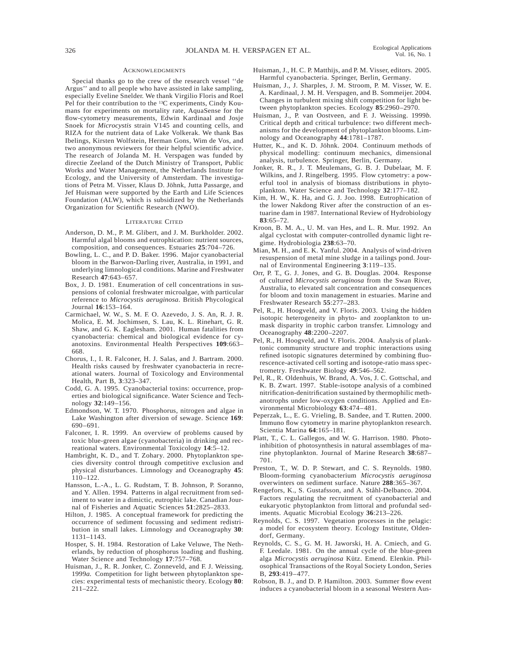#### ACKNOWLEDGMENTS

Special thanks go to the crew of the research vessel ''de Argus'' and to all people who have assisted in lake sampling, especially Eveline Snelder. We thank Virgilio Floris and Roel Pel for their contribution to the <sup>13</sup>C experiments, Cindy Koumans for experiments on mortality rate, AquaSense for the flow-cytometry measurements, Edwin Kardinaal and Josje Snoek for *Microcystis* strain V145 and counting cells, and RIZA for the nutrient data of Lake Volkerak. We thank Bas Ibelings, Kirsten Wolfstein, Herman Gons, Wim de Vos, and two anonymous reviewers for their helpful scientific advice. The research of Jolanda M. H. Verspagen was funded by directie Zeeland of the Dutch Ministry of Transport, Public Works and Water Management, the Netherlands Institute for Ecology, and the University of Amsterdam. The investigations of Petra M. Visser, Klaus D. Jöhnk, Jutta Passarge, and Jef Huisman were supported by the Earth and Life Sciences Foundation (ALW), which is subsidized by the Netherlands Organization for Scientific Research (NWO).

#### LITERATURE CITED

- Anderson, D. M., P. M. Glibert, and J. M. Burkholder. 2002. Harmful algal blooms and eutrophication: nutrient sources, composition, and consequences. Estuaries **25**:704–726.
- Bowling, L. C., and P. D. Baker. 1996. Major cyanobacterial bloom in the Barwon-Darling river, Australia, in 1991, and underlying limnological conditions. Marine and Freshwater Research **47**:643–657.
- Box, J. D. 1981. Enumeration of cell concentrations in suspensions of colonial freshwater microalgae, with particular reference to *Microcystis aeruginosa*. British Phycological Journal **16**:153–164.
- Carmichael, W. W., S. M. F. O. Azevedo, J. S. An, R. J. R. Molica, E. M. Jochimsen, S. Lau, K. L. Rinehart, G. R. Shaw, and G. K. Eaglesham. 2001. Human fatalities from cyanobacteria: chemical and biological evidence for cyanotoxins. Environmental Health Perspectives **109**:663– 668.
- Chorus, I., I. R. Falconer, H. J. Salas, and J. Bartram. 2000. Health risks caused by freshwater cyanobacteria in recreational waters. Journal of Toxicology and Environmental Health, Part B, **3**:323–347.
- Codd, G. A. 1995. Cyanobacterial toxins: occurrence, properties and biological significance. Water Science and Technology **32**:149–156.
- Edmondson, W. T. 1970. Phosphorus, nitrogen and algae in Lake Washington after diversion of sewage. Science **169**: 690–691.
- Falconer, I. R. 1999. An overview of problems caused by toxic blue-green algae (cyanobacteria) in drinking and recreational waters. Environmental Toxicology **14**:5–12.
- Hambright, K. D., and T. Zohary. 2000. Phytoplankton species diversity control through competitive exclusion and physical disturbances. Limnology and Oceanography **45**: 110–122.
- Hansson, L.-A., L. G. Rudstam, T. B. Johnson, P. Soranno, and Y. Allen. 1994. Patterns in algal recruitment from sediment to water in a dimictic, eutrophic lake. Canadian Journal of Fisheries and Aquatic Sciences **51**:2825–2833.
- Hilton, J. 1985. A conceptual framework for predicting the occurrence of sediment focussing and sediment redistribution in small lakes. Limnology and Oceanography **30**: 1131–1143.
- Hosper, S. H. 1984. Restoration of Lake Veluwe, The Netherlands, by reduction of phosphorus loading and flushing. Water Science and Technology **17**:757–768.
- Huisman, J., R. R. Jonker, C. Zonneveld, and F. J. Weissing. 1999*a.* Competition for light between phytoplankton species: experimental tests of mechanistic theory. Ecology **80**: 211–222.
- Huisman, J., H. C. P. Matthijs, and P. M. Visser, editors. 2005. Harmful cyanobacteria. Springer, Berlin, Germany.
- Huisman, J., J. Sharples, J. M. Stroom, P. M. Visser, W. E. A. Kardinaal, J. M. H. Verspagen, and B. Sommeijer. 2004. Changes in turbulent mixing shift competition for light between phytoplankton species. Ecology **85**:2960–2970.
- Huisman, J., P. van Oostveen, and F. J. Weissing. 1999*b.* Critical depth and critical turbulence: two different mechanisms for the development of phytoplankton blooms. Limnology and Oceanography **44**:1781–1787.
- Hutter, K., and K. D. Jöhnk. 2004. Continuum methods of physical modelling: continuum mechanics, dimensional analysis, turbulence. Springer, Berlin, Germany.
- Jonker, R. R., J. T. Meulemans, G. B. J. Dubelaar, M. F. Wilkins, and J. Ringelberg. 1995. Flow cytometry: a powerful tool in analysis of biomass distributions in phytoplankton. Water Science and Technology **32**:177–182.
- Kim, H. W., K. Ha, and G. J. Joo. 1998. Eutrophication of the lower Nakdong River after the construction of an estuarine dam in 1987. International Review of Hydrobiology **83**:65–72.
- Kroon, B. M. A., U. M. van Hes, and L. R. Mur. 1992. An algal cyclostat with computer-controlled dynamic light regime. Hydrobiologia **238**:63–70.
- Mian, M. H., and E. K. Yanful. 2004. Analysis of wind-driven resuspension of metal mine sludge in a tailings pond. Journal of Environmental Engineering **3**:119–135.
- Orr, P. T., G. J. Jones, and G. B. Douglas. 2004. Response of cultured *Microcystis aeruginosa* from the Swan River, Australia, to elevated salt concentration and consequences for bloom and toxin management in estuaries. Marine and Freshwater Research **55**:277–283.
- Pel, R., H. Hoogveld, and V. Floris. 2003. Using the hidden isotopic heterogeneity in phyto- and zooplankton to unmask disparity in trophic carbon transfer. Limnology and Oceanography **48**:2200–2207.
- Pel, R., H. Hoogveld, and V. Floris. 2004. Analysis of planktonic community structure and trophic interactions using refined isotopic signatures determined by combining fluorescence-activated cell sorting and isotope-ratio mass spectrometry. Freshwater Biology **49**:546–562.
- Pel, R., R. Oldenhuis, W. Brand, A. Vos, J. C. Gottschal, and K. B. Zwart. 1997. Stable-isotope analysis of a combined nitrification-denitrification sustained by thermophilic methanotrophs under low-oxygen conditions. Applied and Environmental Microbiology **63**:474–481.
- Peperzak, L., E. G. Vrieling, B. Sandee, and T. Rutten. 2000. Immuno flow cytometry in marine phytoplankton research. Scientia Marina **64**:165–181.
- Platt, T., C. L. Gallegos, and W. G. Harrison. 1980. Photoinhibition of photosynthesis in natural assemblages of marine phytoplankton. Journal of Marine Research **38**:687– 701.
- Preston, T., W. D. P. Stewart, and C. S. Reynolds. 1980. Bloom-forming cyanobacterium *Microcystis aeruginosa* overwinters on sediment surface. Nature **288**:365–367.
- Rengefors, K., S. Gustafsson, and A. Ståhl-Delbanco. 2004. Factors regulating the recruitment of cyanobacterial and eukaryotic phytoplankton from littoral and profundal sediments. Aquatic Microbial Ecology **36**:213–226.
- Reynolds, C. S. 1997. Vegetation processes in the pelagic: a model for ecosystem theory. Ecology Institute, Oldendorf, Germany.
- Reynolds, C. S., G. M. H. Jaworski, H. A. Cmiech, and G. F. Leedale. 1981. On the annual cycle of the blue-green alga Microcystis aeruginosa Kütz. Emend. Elenkin. Philosophical Transactions of the Royal Society London, Series B, **293**:419–477.
- Robson, B. J., and D. P. Hamilton. 2003. Summer flow event induces a cyanobacterial bloom in a seasonal Western Aus-